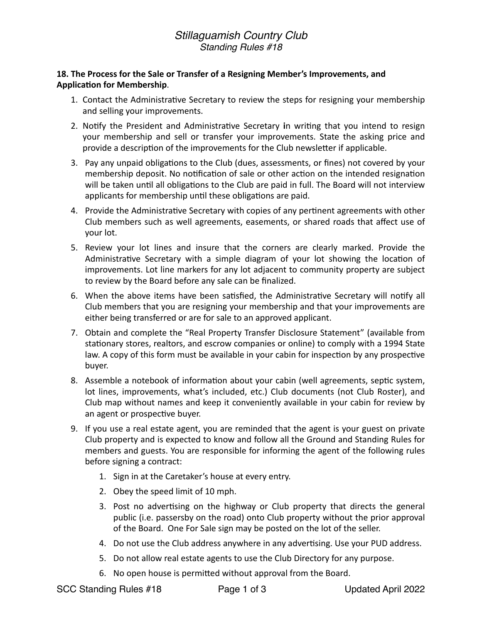## *Stillaguamish Country Club Standing Rules #18*

## 18. The Process for the Sale or Transfer of a Resigning Member's Improvements, and **Application for Membership.**

- 1. Contact the Administrative Secretary to review the steps for resigning your membership and selling your improvements.
- 2. Notify the President and Administrative Secretary in writing that you intend to resign your membership and sell or transfer your improvements. State the asking price and provide a description of the improvements for the Club newsletter if applicable.
- 3. Pay any unpaid obligations to the Club (dues, assessments, or fines) not covered by your membership deposit. No notification of sale or other action on the intended resignation will be taken until all obligations to the Club are paid in full. The Board will not interview applicants for membership until these obligations are paid.
- 4. Provide the Administrative Secretary with copies of any pertinent agreements with other Club members such as well agreements, easements, or shared roads that affect use of your lot.
- 5. Review your lot lines and insure that the corners are clearly marked. Provide the Administrative Secretary with a simple diagram of your lot showing the location of improvements. Lot line markers for any lot adjacent to community property are subject to review by the Board before any sale can be finalized.
- 6. When the above items have been satisfied, the Administrative Secretary will notify all Club members that you are resigning your membership and that your improvements are either being transferred or are for sale to an approved applicant.
- 7. Obtain and complete the "Real Property Transfer Disclosure Statement" (available from stationary stores, realtors, and escrow companies or online) to comply with a 1994 State law. A copy of this form must be available in your cabin for inspection by any prospective buyer.
- 8. Assemble a notebook of information about your cabin (well agreements, septic system, lot lines, improvements, what's included, etc.) Club documents (not Club Roster), and Club map without names and keep it conveniently available in your cabin for review by an agent or prospective buyer.
- 9. If you use a real estate agent, you are reminded that the agent is your guest on private Club property and is expected to know and follow all the Ground and Standing Rules for members and guests. You are responsible for informing the agent of the following rules before signing a contract:
	- 1. Sign in at the Caretaker's house at every entry.
	- 2. Obey the speed limit of 10 mph.
	- 3. Post no advertising on the highway or Club property that directs the general public (i.e. passersby on the road) onto Club property without the prior approval of the Board. One For Sale sign may be posted on the lot of the seller.
	- 4. Do not use the Club address anywhere in any advertising. Use your PUD address.
	- 5. Do not allow real estate agents to use the Club Directory for any purpose.
	- 6. No open house is permitted without approval from the Board.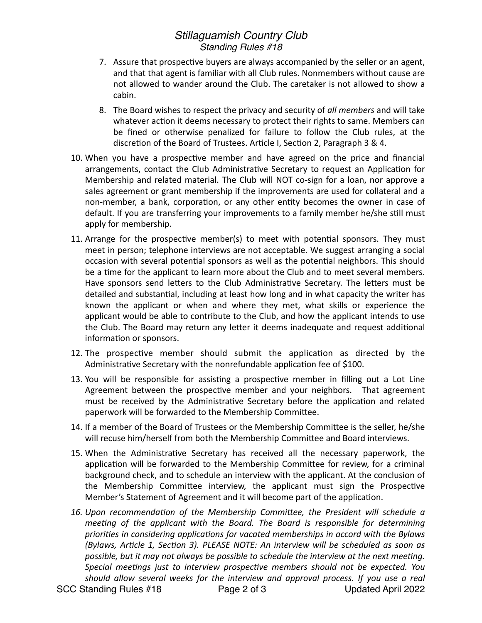## *Stillaguamish Country Club Standing Rules #18*

- 7. Assure that prospective buyers are always accompanied by the seller or an agent, and that that agent is familiar with all Club rules. Nonmembers without cause are not allowed to wander around the Club. The caretaker is not allowed to show a cabin.
- 8. The Board wishes to respect the privacy and security of *all members* and will take whatever action it deems necessary to protect their rights to same. Members can be fined or otherwise penalized for failure to follow the Club rules, at the discretion of the Board of Trustees. Article I, Section 2, Paragraph 3 & 4.
- 10. When you have a prospective member and have agreed on the price and financial arrangements, contact the Club Administrative Secretary to request an Application for Membership and related material. The Club will NOT co-sign for a loan, nor approve a sales agreement or grant membership if the improvements are used for collateral and a non-member, a bank, corporation, or any other entity becomes the owner in case of default. If you are transferring your improvements to a family member he/she still must apply for membership.
- 11. Arrange for the prospective member(s) to meet with potential sponsors. They must meet in person; telephone interviews are not acceptable. We suggest arranging a social occasion with several potential sponsors as well as the potential neighbors. This should be a time for the applicant to learn more about the Club and to meet several members. Have sponsors send letters to the Club Administrative Secretary. The letters must be detailed and substantial, including at least how long and in what capacity the writer has known the applicant or when and where they met, what skills or experience the applicant would be able to contribute to the Club, and how the applicant intends to use the Club. The Board may return any letter it deems inadequate and request additional information or sponsors.
- 12. The prospective member should submit the application as directed by the Administrative Secretary with the nonrefundable application fee of \$100.
- 13. You will be responsible for assisting a prospective member in filling out a Lot Line Agreement between the prospective member and your neighbors. That agreement must be received by the Administrative Secretary before the application and related paperwork will be forwarded to the Membership Committee.
- 14. If a member of the Board of Trustees or the Membership Committee is the seller, he/she will recuse him/herself from both the Membership Committee and Board interviews.
- 15. When the Administrative Secretary has received all the necessary paperwork, the application will be forwarded to the Membership Committee for review, for a criminal background check, and to schedule an interview with the applicant. At the conclusion of the Membership Committee interview, the applicant must sign the Prospective Member's Statement of Agreement and it will become part of the application.
- 16. Upon recommendation of the Membership Committee, the President will schedule a *meeting of the applicant with the Board. The Board is responsible for determining* priorities in considering applications for vacated memberships in accord with the Bylaws *(Bylaws, Article 1, Section 3). PLEASE NOTE: An interview will be scheduled as soon as* possible, but it may not always be possible to schedule the interview at the next meeting. Special meetings just to interview prospective members should not be expected. You *should allow several weeks for the interview and approval process. If you use a real* SCC Standing Rules #18 Page 2 of 3 Updated April 2022